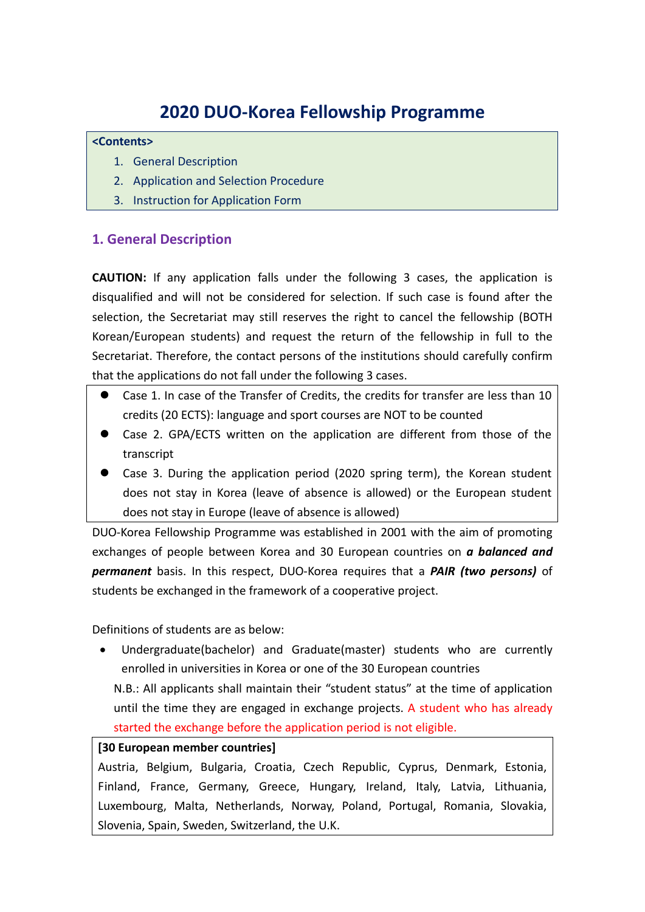# **2020 DUO‐Korea Fellowship Programme**

#### **<Contents>**

- 1. General Description
- 2. Application and Selection Procedure
- 3. Instruction for Application Form

# **1. General Description**

**CAUTION:** If any application falls under the following 3 cases, the application is disqualified and will not be considered for selection. If such case is found after the selection, the Secretariat may still reserves the right to cancel the fellowship (BOTH Korean/European students) and request the return of the fellowship in full to the Secretariat. Therefore, the contact persons of the institutions should carefully confirm that the applications do not fall under the following 3 cases.

- Case 1. In case of the Transfer of Credits, the credits for transfer are less than 10 credits (20 ECTS): language and sport courses are NOT to be counted
- Case 2. GPA/ECTS written on the application are different from those of the transcript
- Case 3. During the application period (2020 spring term), the Korean student does not stay in Korea (leave of absence is allowed) or the European student does not stay in Europe (leave of absence is allowed)

DUO‐Korea Fellowship Programme was established in 2001 with the aim of promoting exchanges of people between Korea and 30 European countries on *a balanced and permanent* basis. In this respect, DUO‐Korea requires that a *PAIR (two persons)* of students be exchanged in the framework of a cooperative project.

Definitions of students are as below:

 Undergraduate(bachelor) and Graduate(master) students who are currently enrolled in universities in Korea or one of the 30 European countries

N.B.: All applicants shall maintain their "student status" at the time of application until the time they are engaged in exchange projects. A student who has already started the exchange before the application period is not eligible.

## **[30 European member countries]**

Austria, Belgium, Bulgaria, Croatia, Czech Republic, Cyprus, Denmark, Estonia, Finland, France, Germany, Greece, Hungary, Ireland, Italy, Latvia, Lithuania, Luxembourg, Malta, Netherlands, Norway, Poland, Portugal, Romania, Slovakia, Slovenia, Spain, Sweden, Switzerland, the U.K.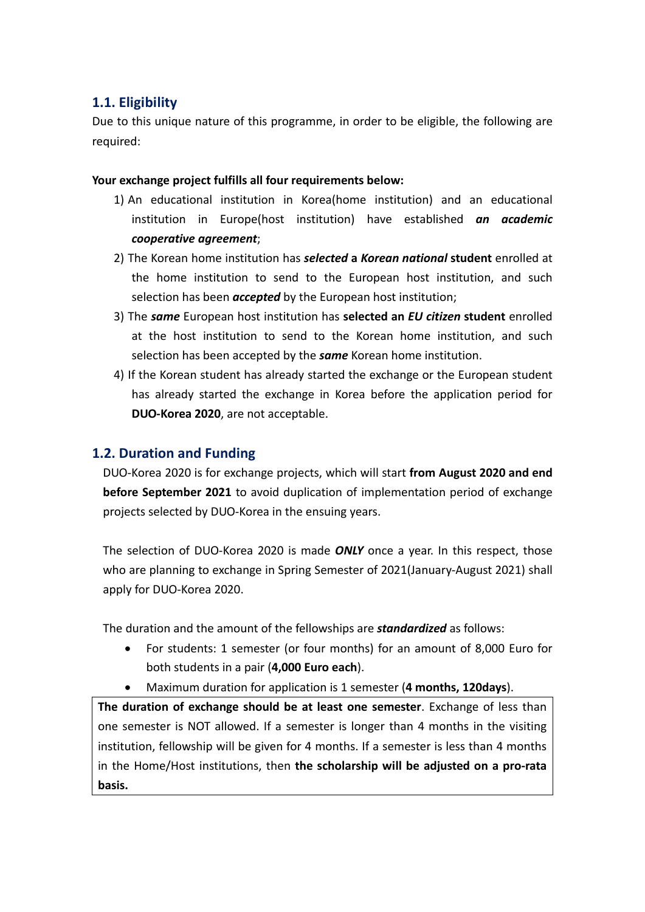# **1.1. Eligibility**

Due to this unique nature of this programme, in order to be eligible, the following are required:

## **Your exchange project fulfills all four requirements below:**

- 1) An educational institution in Korea(home institution) and an educational institution in Europe(host institution) have established *an academic cooperative agreement*;
- 2) The Korean home institution has *selected* **a** *Korean national* **student** enrolled at the home institution to send to the European host institution, and such selection has been *accepted* by the European host institution;
- 3) The *same* European host institution has **selected an** *EU citizen* **student** enrolled at the host institution to send to the Korean home institution, and such selection has been accepted by the *same* Korean home institution.
- 4) If the Korean student has already started the exchange or the European student has already started the exchange in Korea before the application period for **DUO‐Korea 2020**, are not acceptable.

# **1.2. Duration and Funding**

DUO‐Korea 2020 is for exchange projects, which will start **from August 2020 and end before September 2021** to avoid duplication of implementation period of exchange projects selected by DUO‐Korea in the ensuing years.

The selection of DUO‐Korea 2020 is made *ONLY* once a year. In this respect, those who are planning to exchange in Spring Semester of 2021(January‐August 2021) shall apply for DUO‐Korea 2020.

The duration and the amount of the fellowships are *standardized* as follows:

- For students: 1 semester (or four months) for an amount of 8,000 Euro for both students in a pair (**4,000 Euro each**).
- Maximum duration for application is 1 semester (**4 months, 120days**).

**The duration of exchange should be at least one semester**. Exchange of less than one semester is NOT allowed. If a semester is longer than 4 months in the visiting institution, fellowship will be given for 4 months. If a semester is less than 4 months in the Home/Host institutions, then **the scholarship will be adjusted on a pro‐rata basis.**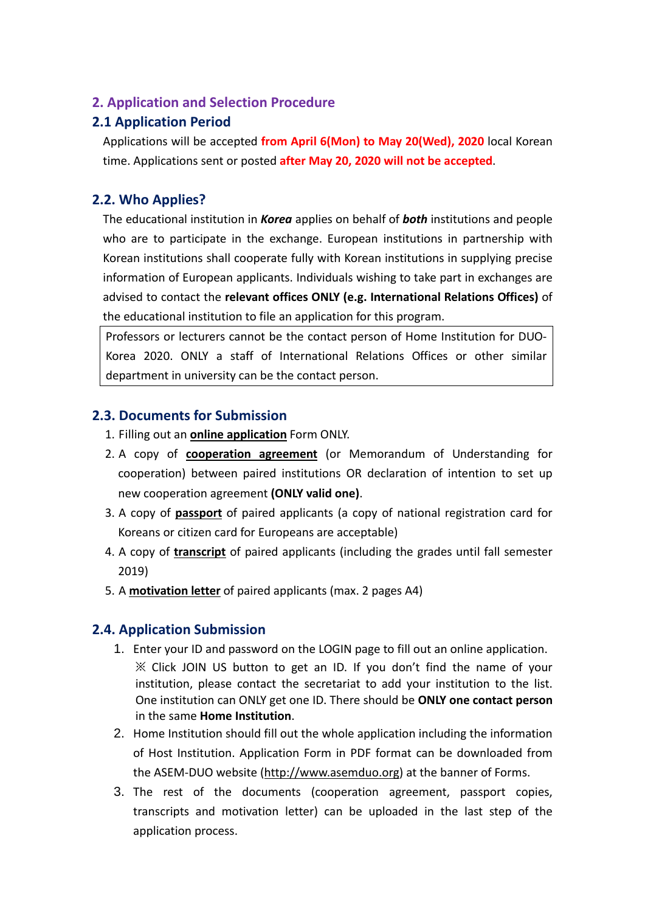## **2. Application and Selection Procedure**

# **2.1 Application Period**

Applications will be accepted **from April 6(Mon) to May 20(Wed), 2020** local Korean time. Applications sent or posted **after May 20, 2020 will not be accepted**.

# **2.2. Who Applies?**

The educational institution in *Korea* applies on behalf of *both* institutions and people who are to participate in the exchange. European institutions in partnership with Korean institutions shall cooperate fully with Korean institutions in supplying precise information of European applicants. Individuals wishing to take part in exchanges are advised to contact the **relevant offices ONLY (e.g. International Relations Offices)** of the educational institution to file an application for this program.

Professors or lecturers cannot be the contact person of Home Institution for DUO‐ Korea 2020. ONLY a staff of International Relations Offices or other similar department in university can be the contact person.

# **2.3. Documents for Submission**

- 1. Filling out an **online application** Form ONLY.
- 2. A copy of **cooperation agreement** (or Memorandum of Understanding for cooperation) between paired institutions OR declaration of intention to set up new cooperation agreement **(ONLY valid one)**.
- 3. A copy of **passport** of paired applicants (a copy of national registration card for Koreans or citizen card for Europeans are acceptable)
- 4. A copy of **transcript** of paired applicants (including the grades until fall semester 2019)
- 5. A **motivation letter** of paired applicants (max. 2 pages A4)

# **2.4. Application Submission**

- 1. Enter your ID and password on the LOGIN page to fill out an online application. ※ Click JOIN US button to get an ID. If you don't find the name of your institution, please contact the secretariat to add your institution to the list. One institution can ONLY get one ID. There should be **ONLY one contact person** in the same **Home Institution**.
- 2. Home Institution should fill out the whole application including the information of Host Institution. Application Form in PDF format can be downloaded from the ASEM-DUO website (http://www.asemduo.org) at the banner of Forms.
- 3. The rest of the documents (cooperation agreement, passport copies, transcripts and motivation letter) can be uploaded in the last step of the application process.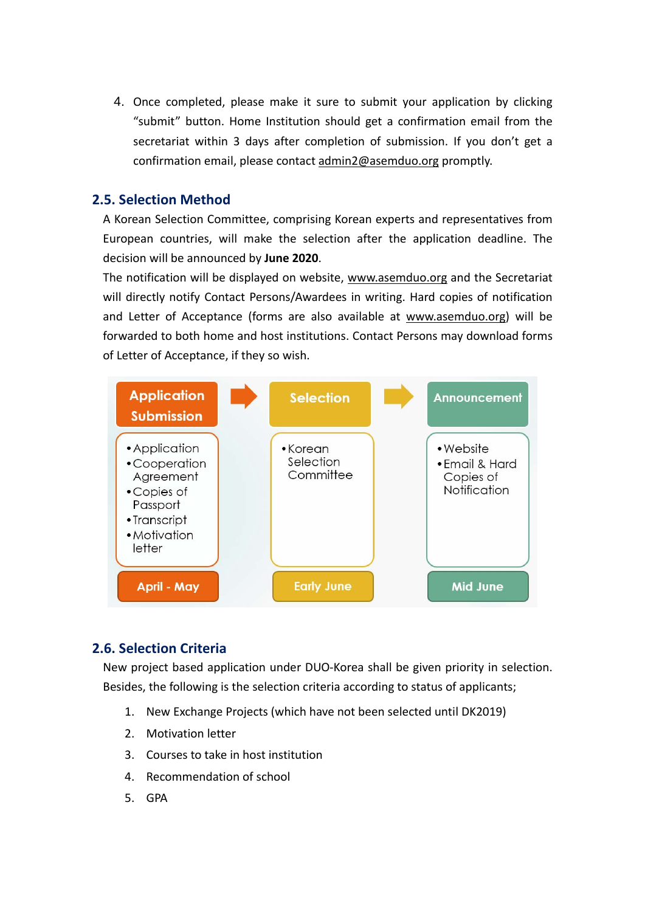4. Once completed, please make it sure to submit your application by clicking "submit" button. Home Institution should get a confirmation email from the secretariat within 3 days after completion of submission. If you don't get a confirmation email, please contact admin2@asemduo.org promptly.

## **2.5. Selection Method**

A Korean Selection Committee, comprising Korean experts and representatives from European countries, will make the selection after the application deadline. The decision will be announced by **June 2020**.

The notification will be displayed on website, www.asemduo.org and the Secretariat will directly notify Contact Persons/Awardees in writing. Hard copies of notification and Letter of Acceptance (forms are also available at www.asemduo.org) will be forwarded to both home and host institutions. Contact Persons may download forms of Letter of Acceptance, if they so wish.



## **2.6. Selection Criteria**

New project based application under DUO‐Korea shall be given priority in selection. Besides, the following is the selection criteria according to status of applicants;

- 1. New Exchange Projects (which have not been selected until DK2019)
- 2. Motivation letter
- 3. Courses to take in host institution
- 4. Recommendation of school
- 5. GPA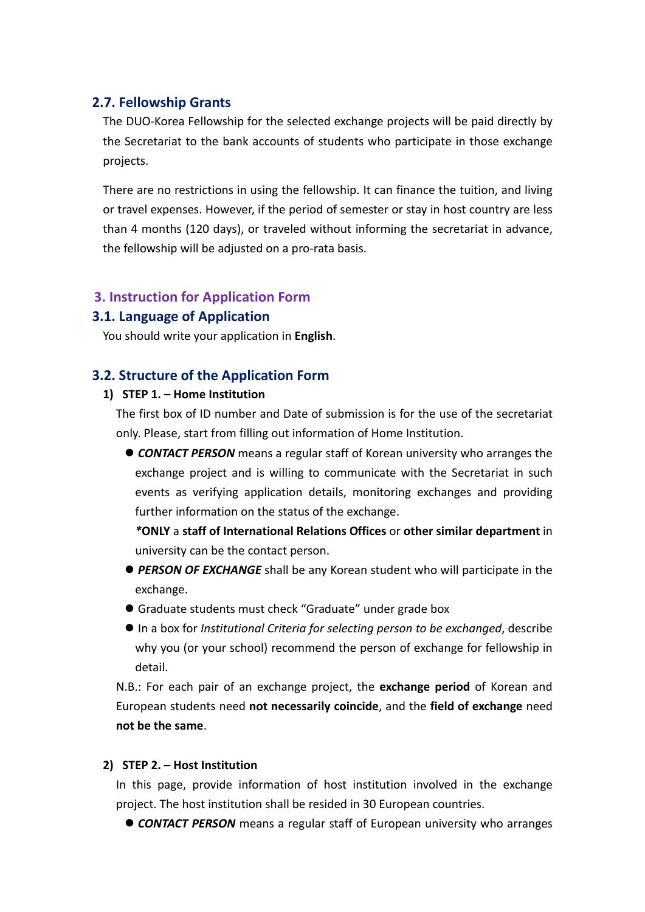## **2.7. Fellowship Grants**

The DUO‐Korea Fellowship for the selected exchange projects will be paid directly by the Secretariat to the bank accounts of students who participate in those exchange projects.

There are no restrictions in using the fellowship. It can finance the tuition, and living or travel expenses. However, if the period of semester or stay in host country are less than 4 months (120 days), or traveled without informing the secretariat in advance, the fellowship will be adjusted on a pro-rata basis.

## **3. Instruction for Application Form**

## **3.1. Language of Application**

You should write your application in **English**.

## **3.2. Structure of the Application Form**

#### **1) STEP 1. – Home Institution**

The first box of ID number and Date of submission is for the use of the secretariat only. Please, start from filling out information of Home Institution.

 *CONTACT PERSON* means a regular staff of Korean university who arranges the exchange project and is willing to communicate with the Secretariat in such events as verifying application details, monitoring exchanges and providing further information on the status of the exchange.

*\****ONLY** a **staff of International Relations Offices** or **other similar department** in university can be the contact person.

- *PERSON OF EXCHANGE* shall be any Korean student who will participate in the exchange.
- Graduate students must check "Graduate" under grade box
- In a box for *Institutional Criteria for selecting person to be exchanged*, describe why you (or your school) recommend the person of exchange for fellowship in detail.

N.B.: For each pair of an exchange project, the **exchange period** of Korean and European students need **not necessarily coincide**, and the **field of exchange** need **not be the same**.

#### **2) STEP 2. – Host Institution**

In this page, provide information of host institution involved in the exchange project. The host institution shall be resided in 30 European countries.

*CONTACT PERSON* means a regular staff of European university who arranges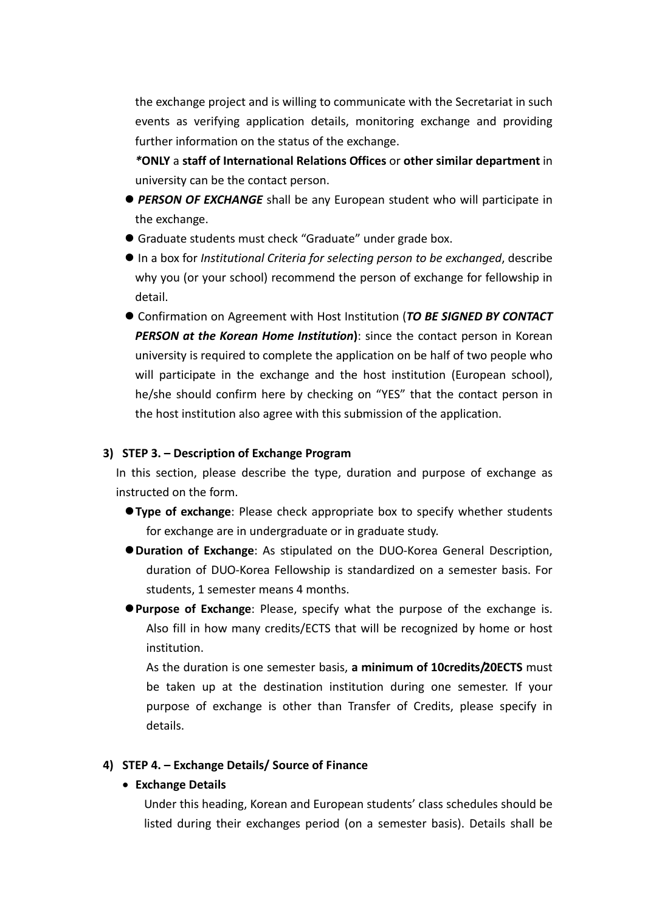the exchange project and is willing to communicate with the Secretariat in such events as verifying application details, monitoring exchange and providing further information on the status of the exchange.

*\****ONLY** a **staff of International Relations Offices** or **other similar department** in university can be the contact person.

- *PERSON OF EXCHANGE* shall be any European student who will participate in the exchange.
- Graduate students must check "Graduate" under grade box.
- In a box for *Institutional Criteria for selecting person to be exchanged*, describe why you (or your school) recommend the person of exchange for fellowship in detail.
- Confirmation on Agreement with Host Institution (*TO BE SIGNED BY CONTACT PERSON at the Korean Home Institution***)**: since the contact person in Korean university is required to complete the application on be half of two people who will participate in the exchange and the host institution (European school), he/she should confirm here by checking on "YES" that the contact person in the host institution also agree with this submission of the application.

#### **3) STEP 3. – Description of Exchange Program**

In this section, please describe the type, duration and purpose of exchange as instructed on the form.

- **Type of exchange**: Please check appropriate box to specify whether students for exchange are in undergraduate or in graduate study.
- **Duration of Exchange**: As stipulated on the DUO‐Korea General Description, duration of DUO‐Korea Fellowship is standardized on a semester basis. For students, 1 semester means 4 months.
- **Purpose of Exchange**: Please, specify what the purpose of the exchange is. Also fill in how many credits/ECTS that will be recognized by home or host institution.

As the duration is one semester basis, **a minimum of 10credits/20ECTS** must be taken up at the destination institution during one semester. If your purpose of exchange is other than Transfer of Credits, please specify in details.

#### **4) STEP 4. – Exchange Details/ Source of Finance**

#### **Exchange Details**

Under this heading, Korean and European students' class schedules should be listed during their exchanges period (on a semester basis). Details shall be